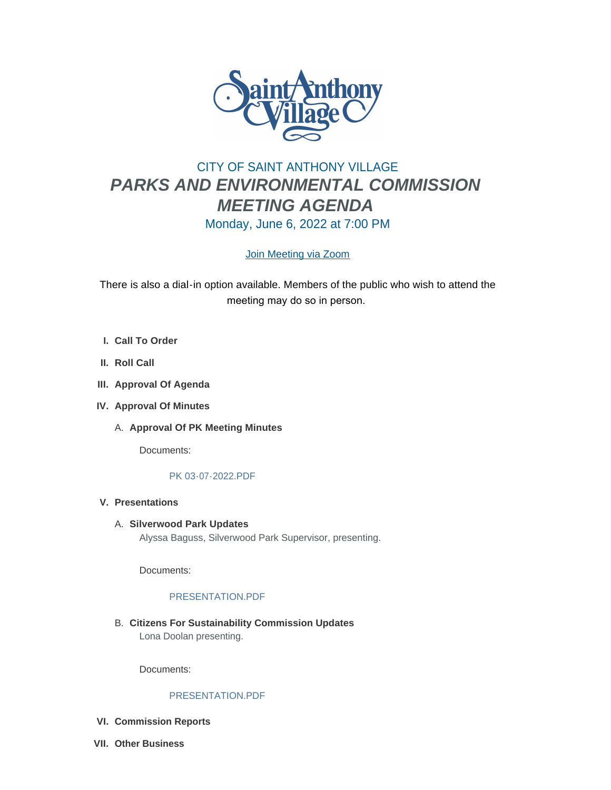

# CITY OF SAINT ANTHONY VILLAGE *PARKS AND ENVIRONMENTAL COMMISSION MEETING AGENDA* Monday, June 6, 2022 at 7:00 PM

# [Join Meeting via Zoom](https://www.savmn.com/Calendar.aspx?EID=1613&month=6&year=2022&day=6&calType=0)

There is also a dial-in option available. Members of the public who wish to attend the meeting may do so in person.

- **Call To Order I.**
- **II.** Roll Call
- **Approval Of Agenda III.**
- **Approval Of Minutes IV.**
	- A. Approval Of PK Meeting Minutes

Documents:

# [PK 03-07-2022.PDF](http://www.savmn.com/AgendaCenter/ViewFile/Item/1025?fileID=7011)

- **Presentations V.**
	- **Silverwood Park Updates** A. Alyssa Baguss, Silverwood Park Supervisor, presenting.

Documents:

# [PRESENTATION.PDF](http://www.savmn.com/AgendaCenter/ViewFile/Item/1051?fileID=7033)

**Citizens For Sustainability Commission Updates** B. Lona Doolan presenting.

Documents:

# [PRESENTATION.PDF](http://www.savmn.com/AgendaCenter/ViewFile/Item/1050?fileID=7029)

- **Commission Reports VI.**
- **Other Business VII.**